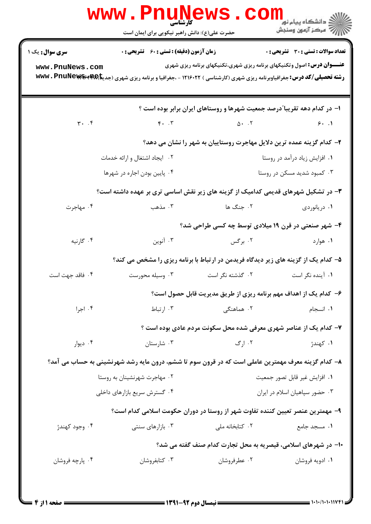|                                                                                   | <b>WWW.PNUNEWS.CO</b><br>حضرت علی(ع): دانش راهبر نیکویی برای ایمان است                                                                  |                                                                                                                | دانشگاه پيام نور<br>ا <mark>∜</mark> مرکز آزمون وسنجش                          |  |  |
|-----------------------------------------------------------------------------------|-----------------------------------------------------------------------------------------------------------------------------------------|----------------------------------------------------------------------------------------------------------------|--------------------------------------------------------------------------------|--|--|
| <b>سری سوال :</b> یک ۱                                                            | <b>زمان آزمون (دقیقه) : تستی : 60 ٪ تشریحی : 0</b>                                                                                      |                                                                                                                | تعداد سوالات : تستي : 30 ٪ تشريحي : 0                                          |  |  |
| www.PnuNews.com                                                                   | <b>رشته تحصیلی/کد درس:</b> جغرافیاوبرنامه ریزی شهری (کارشناسی ) ۱۲۱۶۰۲۲ - ،جغرافیا و برنامه ریزی شهری (جدیتا <b>AR) www . PnuNews س</b> |                                                                                                                | <b>عنـــوان درس:</b> اصول وتکنیکهای برنامه ریزی شهری،تکنیکهای برنامه ریزی شهری |  |  |
| ۱– در کدام دهه تقریبا ٌدرصد جمعیت شهرها و روستاهای ایران برابر بوده است ؟         |                                                                                                                                         |                                                                                                                |                                                                                |  |  |
| $\mathbf{r}$ . $\mathbf{r}$                                                       |                                                                                                                                         | $F \cdot T$ $\Delta \cdot T$ $F \cdot T$                                                                       |                                                                                |  |  |
|                                                                                   |                                                                                                                                         | ۲- کدام گزینه عمده ترین دلایل مهاجرت روستاییان به شهر را نشان می دهد؟                                          |                                                                                |  |  |
|                                                                                   | ۰۲ ایجاد اشتغال و ارائه خدمات                                                                                                           | ۰۱ افزایش زیاد درآمد در روستا                                                                                  |                                                                                |  |  |
|                                                                                   | ۰۴ پایین بودن اجاره در شهرها                                                                                                            | ۰۳ کمبود شدید مسکن در روستا                                                                                    |                                                                                |  |  |
| ۳- در تشکیل شهرهای قدیمی کدامیک از گزینه های زیر نقش اساسی تری بر عهده داشته است؟ |                                                                                                                                         |                                                                                                                |                                                                                |  |  |
| ۰۴ مهاجرت                                                                         |                                                                                                                                         | ۰۱ دریانوردی می کند که است که مذهب دریانوردی می دریانوردی می کند که این موجد است که در این کند که است که در ای |                                                                                |  |  |
|                                                                                   |                                                                                                                                         | ۴- شهر صنعتی در قرن ۱۹ میلادی توسط چه کسی طراحی شد؟                                                            |                                                                                |  |  |
| ۰۴ گارنيه                                                                         | ۰۳ آنوین                                                                                                                                | ۰۲ برگس                                                                                                        | ۰۱ هوارد است.                                                                  |  |  |
|                                                                                   |                                                                                                                                         | ۵– کدام یک از گزینه های زیر دیدگاه فریدمن در ارتباط با برنامه ریزی را مشخص می کند؟                             |                                                                                |  |  |
| ۰۴ فاقد جهت است                                                                   | ۰۳ وسیله محورست                                                                                                                         | ۰۲ گذشته نگر است                                                                                               | ۰۱ آینده نگر است                                                               |  |  |
|                                                                                   |                                                                                                                                         | ۶– کدام یک از اهداف مهم برنامه ریزی از طریق مدیریت قابل حصول است؟                                              |                                                                                |  |  |
| ۰۴ اجرا                                                                           | ۰۳ ارتباط                                                                                                                               | ۰۲ هماهنگ <i>ی</i>                                                                                             | ٠١. انسجام                                                                     |  |  |
|                                                                                   |                                                                                                                                         | ۷- کدام یک از عناصر شهری معرفی شده محل سکونت مردم عادی بوده است ؟                                              |                                                                                |  |  |
| ۰۴ دیوار                                                                          | ۰۳ شارستان                                                                                                                              | ۰۲ ارگ                                                                                                         | ۰۱ كهندژ                                                                       |  |  |
|                                                                                   | ۸– کدام گزینه معرف مهمترین عاملی است که در قرون سوم تا ششم، درون مایه رشد شهرنشینی به حساب می آمد؟                                      |                                                                                                                |                                                                                |  |  |
|                                                                                   | ۰۲ مهاجرت شهرنشینان به روستا                                                                                                            |                                                                                                                | ٠١. افزايش غير قابل تصور جمعيت                                                 |  |  |
|                                                                                   | ۰۴ گسترش سریع بازارهای داخلی                                                                                                            |                                                                                                                | ۰۳ حضور سپاهیان اسلام در ایران                                                 |  |  |
|                                                                                   |                                                                                                                                         | ۹– مهمترین عنصر تعیین کننده تفاوت شهر از روستا در دوران حکومت اسلامی کدام است؟                                 |                                                                                |  |  |
| ۰۴ وجود کهندژ                                                                     | ۰۳ بازارهای سنتی                                                                                                                        | ۰۲ کتابخانه ملی                                                                                                | ٠١. مسجد جامع                                                                  |  |  |
|                                                                                   |                                                                                                                                         | ۱۰- در شهرهای اسلامی، قیصریه به محل تجارت کدام صنف گفته می شد؟                                                 |                                                                                |  |  |
| ۰۴ پارچه فروشان                                                                   | ۰۳ کتابفروشان                                                                                                                           | ۰۲ عطرفروشان                                                                                                   | ۰۱ ادویه فروشان                                                                |  |  |
|                                                                                   |                                                                                                                                         |                                                                                                                |                                                                                |  |  |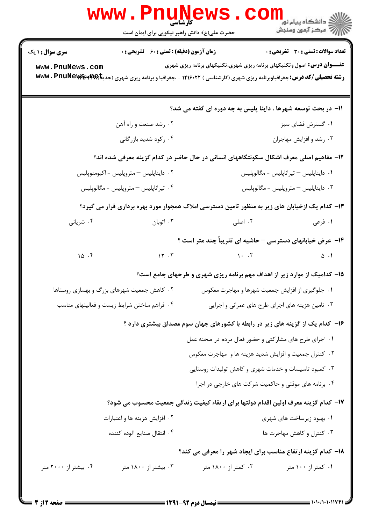|                                                                                                | <b>www.Pnunet</b><br>حضرت علی(ع): دانش راهبر نیکویی برای ایمان است                 |                                                                                | ري دانشڪاه پيام نور¶<br>الا = دانشڪاه پيام نور<br>ا |  |  |
|------------------------------------------------------------------------------------------------|------------------------------------------------------------------------------------|--------------------------------------------------------------------------------|-----------------------------------------------------|--|--|
| <b>سری سوال : ۱ یک</b>                                                                         | <b>زمان آزمون (دقیقه) : تستی : 60 ٪ تشریحی : 0</b>                                 |                                                                                | تعداد سوالات : تستي : 30 ٪ تشريحي : 0               |  |  |
| www.PnuNews.com                                                                                |                                                                                    | <b>عنـــوان درس:</b> اصول وتکنیکهای برنامه ریزی شهری،تکنیکهای برنامه ریزی شهری |                                                     |  |  |
|                                                                                                |                                                                                    | 11- در بحث توسعه شهرها ، داینا پلیس به چه دوره ای گفته می شد؟                  |                                                     |  |  |
|                                                                                                | ۰۲ رشد صنعت و راه آهن                                                              |                                                                                | ۰۱ گسترش فضای سبز                                   |  |  |
|                                                                                                | ۰۴ رکود شدید بازرگانی                                                              |                                                                                | ۰۳ رشد و افزایش مهاجران                             |  |  |
| ۱۲- مفاهیم اصلی معرف اشکال سکونتگاههای انسانی در حال حاضر در کدام گزینه معرفی شده اند؟         |                                                                                    |                                                                                |                                                     |  |  |
|                                                                                                | ۰۲ دایناپلیس – متروپلیس - اکیومنوپلیس                                              |                                                                                | ۰۱ دایناپلیس – تیراناپلیس - مگالوپلیس               |  |  |
|                                                                                                | ۰۴ تیراناپلیس – متروپلیس - مگالوپلیس                                               |                                                                                | ۰۳ دايناپليس – متروپليس - مگالوپليس                 |  |  |
| ۱۳– کدام یک ازخیابان های زیر به منظور تامین دسترسی املاک همجوار مورد بهره برداری قرار می گیرد؟ |                                                                                    |                                                                                |                                                     |  |  |
| ۰۴ شریانی                                                                                      |                                                                                    | ۰۲ اصلی مسلم است. ۲۰ اتوبان                                                    | ۱. فرعی                                             |  |  |
|                                                                                                |                                                                                    | ۱۴- عرض خیابانهای دسترسی - حاشیه ای تقریباً چند متر است ؟                      |                                                     |  |  |
| 10.5                                                                                           | 15.7                                                                               | $\mathcal{N}$                                                                  | $\Delta$ .                                          |  |  |
|                                                                                                | 15- کدامیک از موارد زیر از اهداف مهم برنامه ریزی شهری و طرحهای جامع است؟           |                                                                                |                                                     |  |  |
|                                                                                                | ۰۲ کاهش جمعیت شهرهای بزرگ و بهسازی روستاها                                         |                                                                                | ۰۱ جلوگیری از افزایش جمعیت شهرها و مهاجرت معکوس     |  |  |
|                                                                                                | ۰۴ فراهم ساختن شرايط زيست و فعاليتهاى مناسب                                        |                                                                                | ۰۳ تامین هزینه های اجرای طرح های عمرانی و اجرایی    |  |  |
|                                                                                                | ۱۶– کدام یک از گزینه های زیر در رابطه با کشورهای جهان سوم مصداق بیشتری دارد ؟      |                                                                                |                                                     |  |  |
|                                                                                                |                                                                                    | ۱. اجرای طرح های مشارکتی و حضور فعال مردم در صحنه عمل                          |                                                     |  |  |
|                                                                                                |                                                                                    | ۰۲ کنترل جمعیت و افزایش شدید هزینه ها و مهاجرت معکوس                           |                                                     |  |  |
|                                                                                                |                                                                                    | ۰۳ کمبود تاسیسات و خدمات شهری و کاهش تولیدات روستایی                           |                                                     |  |  |
|                                                                                                |                                                                                    | ۰۴ برنامه های موقتی و حاکمیت شرکت های خارجی در اجرا                            |                                                     |  |  |
|                                                                                                | ۱۷– کدام گزینه معرف اولین اقدام دولتها برای ارتقاء کیفیت زندگی جمعیت محسوب می شود؟ |                                                                                |                                                     |  |  |
|                                                                                                | ۰۲ افزایش هزینه ها و اعتبارات                                                      |                                                                                | ۰۱ بهبود زیرساخت های شهری                           |  |  |
|                                                                                                | ۰۴ انتقال صنايع آلوده كننده                                                        |                                                                                | ۰۳ کنترل و کاهش مهاجرت ها                           |  |  |
|                                                                                                |                                                                                    | 18- کدام گزینه ارتفاع مناسب برای ایجاد شهر را معرفی می کند؟                    |                                                     |  |  |
| ۰۴ بیشتر از ۲۰۰۰ متر                                                                           | ۰۳ بیشتر از ۱۸۰۰ متر                                                               | ۰۲ کمتر از ۱۸۰۰ متر                                                            | ۰۱ کمتر از ۱۰۰ متر                                  |  |  |

**DESIMATE**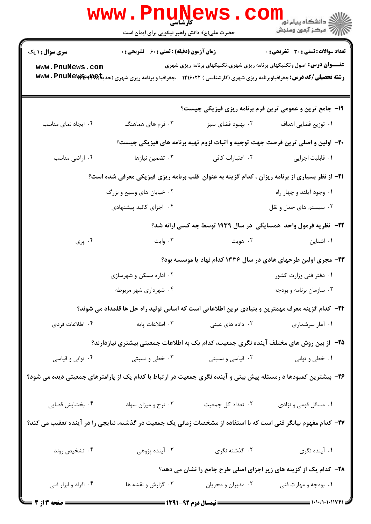|                                                                                                                 | <b>www.Pnunews</b><br>حضرت علی(ع): دانش راهبر نیکویی برای ایمان است                                                                       |                    | د دانشگاه پيام نور<br>ا∛ مرکز آزمون وسنجش                                                                                                                                                                                                                                                                                                                                                                             |  |  |  |
|-----------------------------------------------------------------------------------------------------------------|-------------------------------------------------------------------------------------------------------------------------------------------|--------------------|-----------------------------------------------------------------------------------------------------------------------------------------------------------------------------------------------------------------------------------------------------------------------------------------------------------------------------------------------------------------------------------------------------------------------|--|--|--|
| <b>سری سوال : ۱ یک</b>                                                                                          | <b>زمان آزمون (دقیقه) : تستی : 60 ٪ تشریحی : 0</b>                                                                                        |                    | تعداد سوالات : تستى : 30 قشريحى : 0                                                                                                                                                                                                                                                                                                                                                                                   |  |  |  |
| www.PnuNews.com                                                                                                 | <b>رشته تحصیلی/کد درس:</b> جغرافیاوبرنامه ریزی شهری (کارشناسی ) ۱۲۱۶۰۲۲ - ،جغرافیا و برنامه ریزی شهری (جدیک <sup>ه</sup> ۱۳۹۶ ×۱۷۷۷ × www |                    | <b>عنـــوان درس:</b> اصول وتکنیکهای برنامه ریزی شهری،تکنیکهای برنامه ریزی شهری                                                                                                                                                                                                                                                                                                                                        |  |  |  |
|                                                                                                                 |                                                                                                                                           |                    | ۱۹- جامع ترین و عمومی ترین فرم برنامه ریزی فیزیکی چیست؟                                                                                                                                                                                                                                                                                                                                                               |  |  |  |
| ۰۴ ایجاد نمای مناسب                                                                                             | ۰۳ فرم های هماهنگ                                                                                                                         | ۰۲ بهبود فضای سبز  | ٠١ توزيع فضايي اهداف                                                                                                                                                                                                                                                                                                                                                                                                  |  |  |  |
|                                                                                                                 |                                                                                                                                           |                    | +۲- اولین و اصلی ترین فرصت جهت توجیه و اثبات لزوم تهیه برنامه های فیزیکی چیست؟                                                                                                                                                                                                                                                                                                                                        |  |  |  |
| ۰۴ اراضی مناسب                                                                                                  | ۰۳ تضمین نیازها                                                                                                                           | ۰۲ اعتبارات کافی   | ٠١ قابليت اجرايي                                                                                                                                                                                                                                                                                                                                                                                                      |  |  |  |
| <b>۲۱</b> - از نظر بسیاری از برنامه ریزان ، کدام گزینه به عنوان قلب برنامه ریزی فیزیکی معرفی شده است؟           |                                                                                                                                           |                    |                                                                                                                                                                                                                                                                                                                                                                                                                       |  |  |  |
|                                                                                                                 | ۰۲ خیابان های وسیع و بزرگ                                                                                                                 |                    | ۰۱ وجود آیلند و چهار راه                                                                                                                                                                                                                                                                                                                                                                                              |  |  |  |
|                                                                                                                 | ۰۴ اجزای کالبد پیشنهادی                                                                                                                   |                    | ۰۳ سیستم های حمل و نقل                                                                                                                                                                                                                                                                                                                                                                                                |  |  |  |
|                                                                                                                 |                                                                                                                                           |                    | ۲۲-۔ نظریه فرمول واحد همسایگی در سال ۱۹۳۹ توسط چه کسی ارائه شد؟                                                                                                                                                                                                                                                                                                                                                       |  |  |  |
| ۰۴ پری                                                                                                          | ۰۳ وايت                                                                                                                                   | ۰۲ هويت            | ۰۱ اشتاین                                                                                                                                                                                                                                                                                                                                                                                                             |  |  |  |
|                                                                                                                 |                                                                                                                                           |                    | ۲۳- مجری اولین طرحهای هادی در سال ۱۳۳۶ کدام نهاد یا موسسه بود؟                                                                                                                                                                                                                                                                                                                                                        |  |  |  |
|                                                                                                                 | ۰۲ اداره مسکن و شهرسازی                                                                                                                   |                    | ۰۱ دفتر فنی وزارت کشور                                                                                                                                                                                                                                                                                                                                                                                                |  |  |  |
|                                                                                                                 | ۴. شهرداری شهر مربوطه                                                                                                                     |                    | ۰۳ سازمان برنامه و بودجه                                                                                                                                                                                                                                                                                                                                                                                              |  |  |  |
| ۲۴– کدام گزینه معرف مهمترین و بنیادی ترین اطلاعاتی است که اساس تولید راه حل ها قلمداد می شوند؟                  |                                                                                                                                           |                    |                                                                                                                                                                                                                                                                                                                                                                                                                       |  |  |  |
| ۰۴ اطلاعات فردي                                                                                                 | ۰۳ اطلاعات پایه                                                                                                                           | ۰۲ داده های عینی   | ۰۱ آمار سرشماری                                                                                                                                                                                                                                                                                                                                                                                                       |  |  |  |
|                                                                                                                 | ۲۵– از بین روش های مختلف آینده نگری جمعیت، کدام یک به اطلاعات جمعیتی بیشتری نیازدارند؟                                                    |                    |                                                                                                                                                                                                                                                                                                                                                                                                                       |  |  |  |
| ۰۴ توانی و قیاسی                                                                                                | ۰۳ خطی و نسبتی                                                                                                                            | ۰۲ قیاسی و نسبتی   | ٠١ خطي و تواني                                                                                                                                                                                                                                                                                                                                                                                                        |  |  |  |
|                                                                                                                 | ۲۶– بیشترین کمبودها د رمسئله پیش بینی و آینده نگری جمعیت در ارتباط با کدام یک از پارامترهای جمعیتی دیده می شود؟                           |                    |                                                                                                                                                                                                                                                                                                                                                                                                                       |  |  |  |
| ۰۴ بخشایش قضایی                                                                                                 | ۰۳ نرخ و میزان سواد                                                                                                                       | ٠٢ تعداد كل جمعيت  | ۰۱ مسائل قومی و نژادی                                                                                                                                                                                                                                                                                                                                                                                                 |  |  |  |
| ۲۷– کدام مفهوم بیانگر فنی است که با استفاده از مشخصات زمانی یک جمعیت در گذشته، نتایجی را در آینده تعقیب می کند؟ |                                                                                                                                           |                    |                                                                                                                                                                                                                                                                                                                                                                                                                       |  |  |  |
| ۰۴ تشخیص روند                                                                                                   | ۰۳ آینده پژوهی                                                                                                                            | ۰۲ گذشته نگری      | ۰۱ آینده نگری                                                                                                                                                                                                                                                                                                                                                                                                         |  |  |  |
|                                                                                                                 | ۲۸– کدام یک از گزینه های زیر اجزای اصلی طرح جامع را نشان می دهد؟                                                                          |                    |                                                                                                                                                                                                                                                                                                                                                                                                                       |  |  |  |
| ۰۴ افراد و ابزار فنی                                                                                            | ۰۳ گزارش و نقشه ها                                                                                                                        | ۰۲ مدیران و مجریان | ۰۱ بودجه و مهارت فنی                                                                                                                                                                                                                                                                                                                                                                                                  |  |  |  |
| <b>= صفحه 3 از 4 =</b>                                                                                          |                                                                                                                                           |                    | $\frac{1}{1-\frac{1}{1-\frac{1}{1-\frac{1}{1-\frac{1}{1-\frac{1}{1-\frac{1}{1-\frac{1}{1-\frac{1}{1-\frac{1}{1-\frac{1}{1-\frac{1}{1-\frac{1}{1-\frac{1}{1-\frac{1}{1-\frac{1}{1-\frac{1}{1-\frac{1}{1-\frac{1}{1-\frac{1}{1-\frac{1}{1-\frac{1}{1-\frac{1}{1-\frac{1}{1-\frac{1}{1-\frac{1}{1-\frac{1}{1-\frac{1}{1-\frac{1}{1-\frac{1}{1-\frac{1}{1-\frac{1}{1-\frac{1}{1-\frac{1}{1-\frac{1}{1-\frac{1}{1-\frac{1$ |  |  |  |